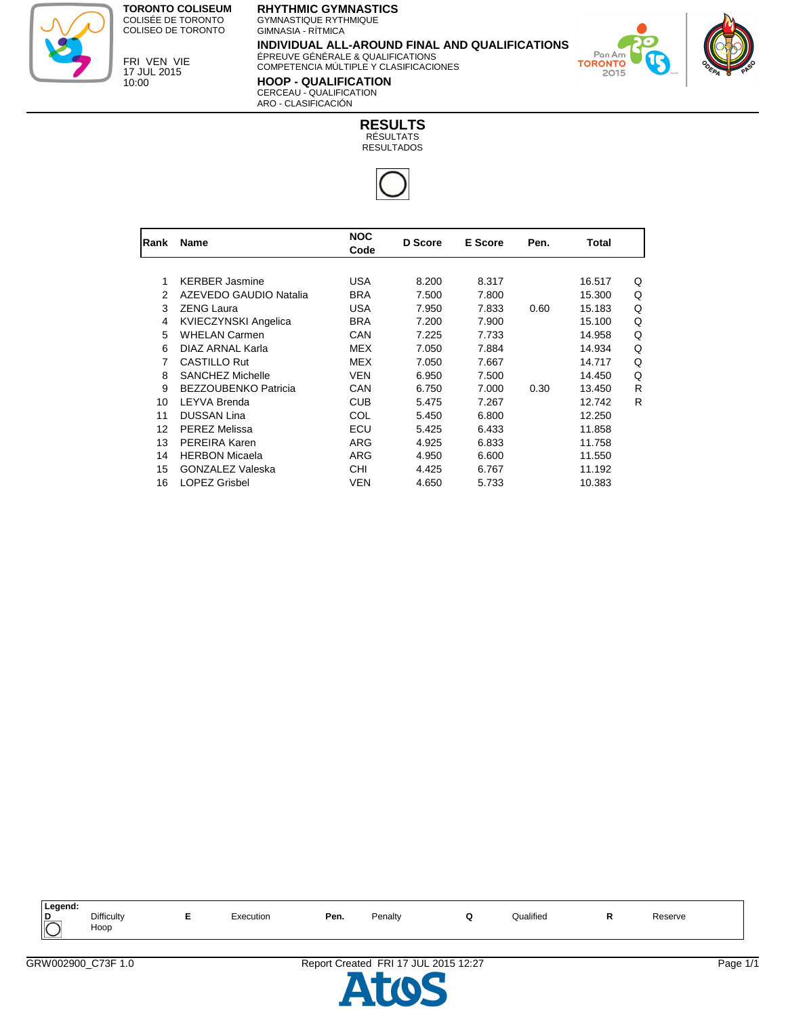

FRI VEN VIE 17 JUL 2015 10:00

## **RHYTHMIC GYMNASTICS**

GYMNASTIQUE RYTHMIQUE GIMNASIA - RÍTMICA

**INDIVIDUAL ALL-AROUND FINAL AND QUALIFICATIONS** ÉPREUVE GÉNÉRALE & QUALIFICATIONS

COMPETENCIA MÚLTIPLE Y CLASIFICACIONES

**HOOP - QUALIFICATION** CERCEAU - QUALIFICATION ARO - CLASIFICACIÓN



| Rank | <b>Name</b>                 | <b>NOC</b><br>Code | D Score | <b>E</b> Score | Pen. | Total  |   |
|------|-----------------------------|--------------------|---------|----------------|------|--------|---|
|      |                             |                    |         |                |      |        |   |
| 1    | <b>KERBER Jasmine</b>       | <b>USA</b>         | 8.200   | 8.317          |      | 16.517 | Q |
| 2    | AZEVEDO GAUDIO Natalia      | <b>BRA</b>         | 7.500   | 7.800          |      | 15.300 | Q |
| 3    | <b>ZENG Laura</b>           | <b>USA</b>         | 7.950   | 7.833          | 0.60 | 15.183 | Q |
| 4    | KVIECZYNSKI Angelica        | <b>BRA</b>         | 7.200   | 7.900          |      | 15.100 | Q |
| 5    | <b>WHELAN Carmen</b>        | CAN                | 7.225   | 7.733          |      | 14.958 | Q |
| 6    | DIAZ ARNAL Karla            | MEX                | 7.050   | 7.884          |      | 14.934 | Q |
| 7    | <b>CASTILLO Rut</b>         | <b>MEX</b>         | 7.050   | 7.667          |      | 14.717 | Q |
| 8    | SANCHEZ Michelle            | <b>VEN</b>         | 6.950   | 7.500          |      | 14.450 | Q |
| 9    | <b>BEZZOUBENKO Patricia</b> | CAN                | 6.750   | 7.000          | 0.30 | 13.450 | R |
| 10   | LEYVA Brenda                | <b>CUB</b>         | 5.475   | 7.267          |      | 12.742 | R |
| 11   | <b>DUSSAN Lina</b>          | COL                | 5.450   | 6.800          |      | 12.250 |   |
| 12   | <b>PEREZ Melissa</b>        | ECU                | 5.425   | 6.433          |      | 11.858 |   |
| 13   | PEREIRA Karen               | <b>ARG</b>         | 4.925   | 6.833          |      | 11.758 |   |
| 14   | <b>HERBON Micaela</b>       | ARG                | 4.950   | 6.600          |      | 11.550 |   |
| 15   | <b>GONZALEZ Valeska</b>     | <b>CHI</b>         | 4.425   | 6.767          |      | 11.192 |   |
| 16   | <b>LOPEZ Grisbel</b>        | <b>VEN</b>         | 4.650   | 5.733          |      | 10.383 |   |

| Legend:       |                           |                |      |         |   |           |     |         |  |
|---------------|---------------------------|----------------|------|---------|---|-----------|-----|---------|--|
| D<br>$\bar{}$ | <b>Difficulty</b><br>Hoop | Execution<br>. | Pen. | Penalty | - | Qualified | . . | Reserve |  |



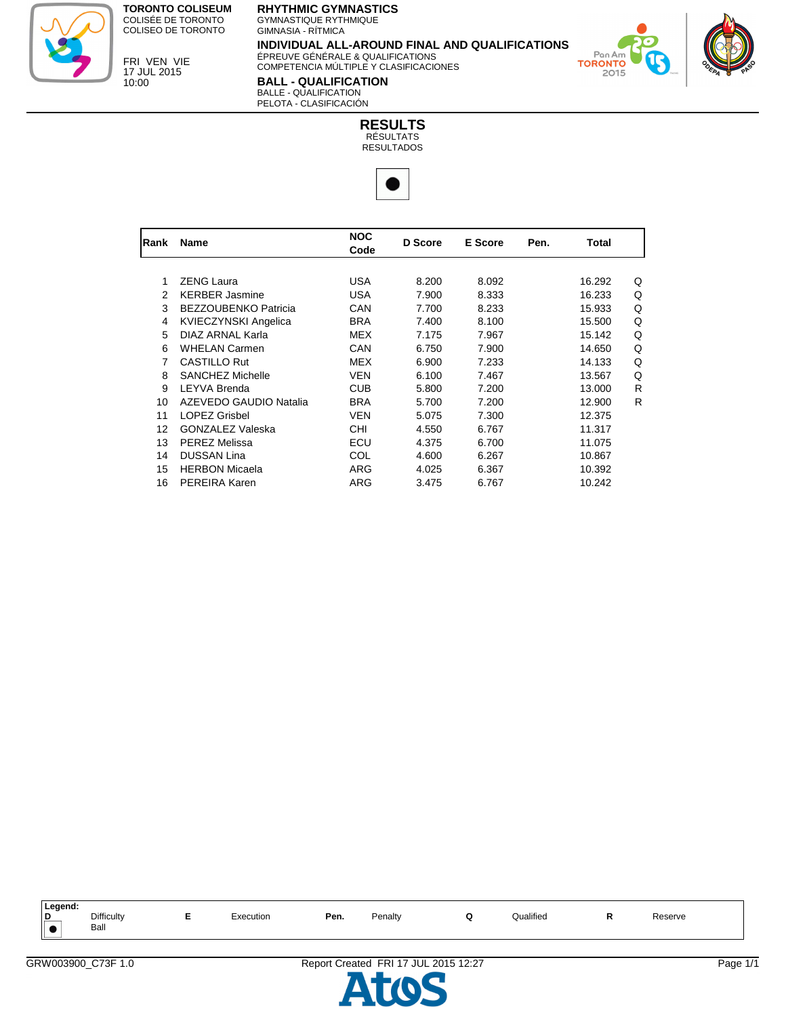

FRI VEN VIE 17 JUL 2015 10:00

## **RHYTHMIC GYMNASTICS**

GYMNASTIQUE RYTHMIQUE GIMNASIA - RÍTMICA

**INDIVIDUAL ALL-AROUND FINAL AND QUALIFICATIONS** ÉPREUVE GÉNÉRALE & QUALIFICATIONS

COMPETENCIA MÚLTIPLE Y CLASIFICACIONES

**BALL - QUALIFICATION** BALLE - QUALIFICATION PELOTA - CLASIFICACIÓN



| Rank | <b>Name</b>                 | <b>NOC</b><br>Code | <b>D</b> Score | E Score | Pen. | Total  |   |
|------|-----------------------------|--------------------|----------------|---------|------|--------|---|
|      |                             |                    |                |         |      |        |   |
| 1    | <b>ZENG Laura</b>           | <b>USA</b>         | 8.200          | 8.092   |      | 16.292 | Q |
| 2    | <b>KERBER Jasmine</b>       | <b>USA</b>         | 7.900          | 8.333   |      | 16.233 | Q |
| 3    | <b>BEZZOUBENKO Patricia</b> | CAN                | 7.700          | 8.233   |      | 15.933 | Q |
| 4    | <b>KVIECZYNSKI Angelica</b> | <b>BRA</b>         | 7.400          | 8.100   |      | 15.500 | Q |
| 5    | DIAZ ARNAL Karla            | MEX                | 7.175          | 7.967   |      | 15.142 | Q |
| 6    | <b>WHELAN Carmen</b>        | CAN                | 6.750          | 7.900   |      | 14.650 | Q |
| 7    | <b>CASTILLO Rut</b>         | <b>MEX</b>         | 6.900          | 7.233   |      | 14.133 | Q |
| 8    | <b>SANCHEZ Michelle</b>     | <b>VEN</b>         | 6.100          | 7.467   |      | 13.567 | Q |
| 9    | LEYVA Brenda                | <b>CUB</b>         | 5.800          | 7.200   |      | 13.000 | R |
| 10   | AZEVEDO GAUDIO Natalia      | <b>BRA</b>         | 5.700          | 7.200   |      | 12.900 | R |
| 11   | <b>LOPEZ Grisbel</b>        | <b>VEN</b>         | 5.075          | 7.300   |      | 12.375 |   |
| 12   | <b>GONZALEZ Valeska</b>     | <b>CHI</b>         | 4.550          | 6.767   |      | 11.317 |   |
| 13   | <b>PEREZ Melissa</b>        | ECU                | 4.375          | 6.700   |      | 11.075 |   |
| 14   | <b>DUSSAN Lina</b>          | COL                | 4.600          | 6.267   |      | 10.867 |   |
| 15   | <b>HERBON Micaela</b>       | <b>ARG</b>         | 4.025          | 6.367   |      | 10.392 |   |
| 16   | PEREIRA Karen               | ARG                | 3.475          | 6.767   |      | 10.242 |   |

| Legend: |                    |   |                |      |         |               |              |  |
|---------|--------------------|---|----------------|------|---------|---------------|--------------|--|
| D       | Difficulty<br>Ball | - | :xecution<br>. | Pen. | Penalty | <br>Qualified | Reserve<br>. |  |



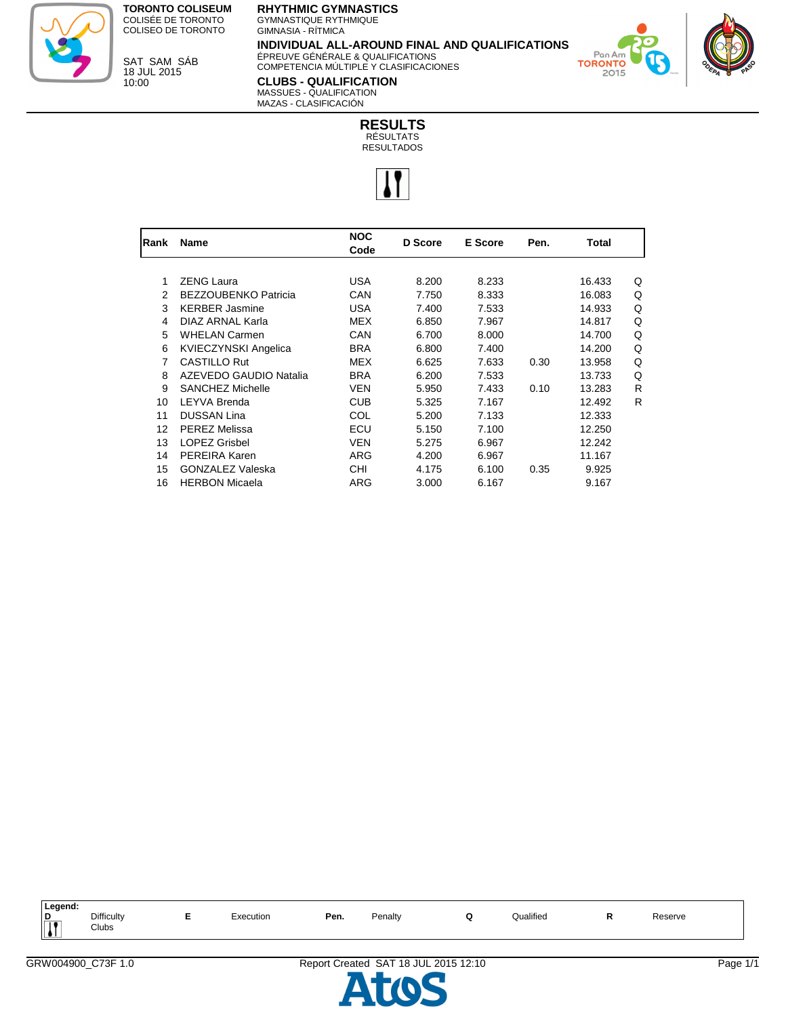

SAT SAM SÁB 18 JUL 2015 10:00

## **RHYTHMIC GYMNASTICS**

GYMNASTIQUE RYTHMIQUE GIMNASIA - RÍTMICA

**INDIVIDUAL ALL-AROUND FINAL AND QUALIFICATIONS** ÉPREUVE GÉNÉRALE & QUALIFICATIONS

COMPETENCIA MÚLTIPLE Y CLASIFICACIONES

**CLUBS - QUALIFICATION** MASSUES - QUALIFICATION MAZAS - CLASIFICACIÓN

Pon **TORONTO** 2015



| Rank | Name                        | <b>NOC</b><br>Code | D Score | E Score | Pen. | Total  |   |
|------|-----------------------------|--------------------|---------|---------|------|--------|---|
|      |                             |                    |         |         |      |        |   |
| 1    | <b>ZENG Laura</b>           | <b>USA</b>         | 8.200   | 8.233   |      | 16.433 | Q |
| 2    | <b>BEZZOUBENKO Patricia</b> | CAN                | 7.750   | 8.333   |      | 16.083 | Q |
| 3    | <b>KERBER Jasmine</b>       | <b>USA</b>         | 7.400   | 7.533   |      | 14.933 | Q |
| 4    | DIAZ ARNAL Karla            | <b>MEX</b>         | 6.850   | 7.967   |      | 14.817 | Q |
| 5    | <b>WHELAN Carmen</b>        | CAN                | 6.700   | 8.000   |      | 14.700 | Q |
| 6    | <b>KVIECZYNSKI Angelica</b> | <b>BRA</b>         | 6.800   | 7.400   |      | 14.200 | Q |
| 7    | <b>CASTILLO Rut</b>         | <b>MEX</b>         | 6.625   | 7.633   | 0.30 | 13.958 | Q |
| 8    | AZEVEDO GAUDIO Natalia      | <b>BRA</b>         | 6.200   | 7.533   |      | 13.733 | Q |
| 9    | SANCHEZ Michelle            | <b>VEN</b>         | 5.950   | 7.433   | 0.10 | 13.283 | R |
| 10   | <b>LEYVA Brenda</b>         | <b>CUB</b>         | 5.325   | 7.167   |      | 12.492 | R |
| 11   | <b>DUSSAN Lina</b>          | COL                | 5.200   | 7.133   |      | 12.333 |   |
| 12   | <b>PEREZ Melissa</b>        | ECU                | 5.150   | 7.100   |      | 12.250 |   |
| 13   | <b>LOPEZ Grisbel</b>        | <b>VEN</b>         | 5.275   | 6.967   |      | 12.242 |   |
| 14   | <b>PEREIRA Karen</b>        | ARG                | 4.200   | 6.967   |      | 11.167 |   |
| 15   | <b>GONZALEZ Valeska</b>     | <b>CHI</b>         | 4.175   | 6.100   | 0.35 | 9.925  |   |
| 16   | <b>HERBON Micaela</b>       | ARG                | 3.000   | 6.167   |      | 9.167  |   |

| Legend:                   |                            |           |      |         |           |         |  |
|---------------------------|----------------------------|-----------|------|---------|-----------|---------|--|
| $\frac{p}{\prod}$<br>'' ⊾ | <b>Difficulty</b><br>Clubs | cxecution | Pen. | Penalty | Qualified | Reserve |  |